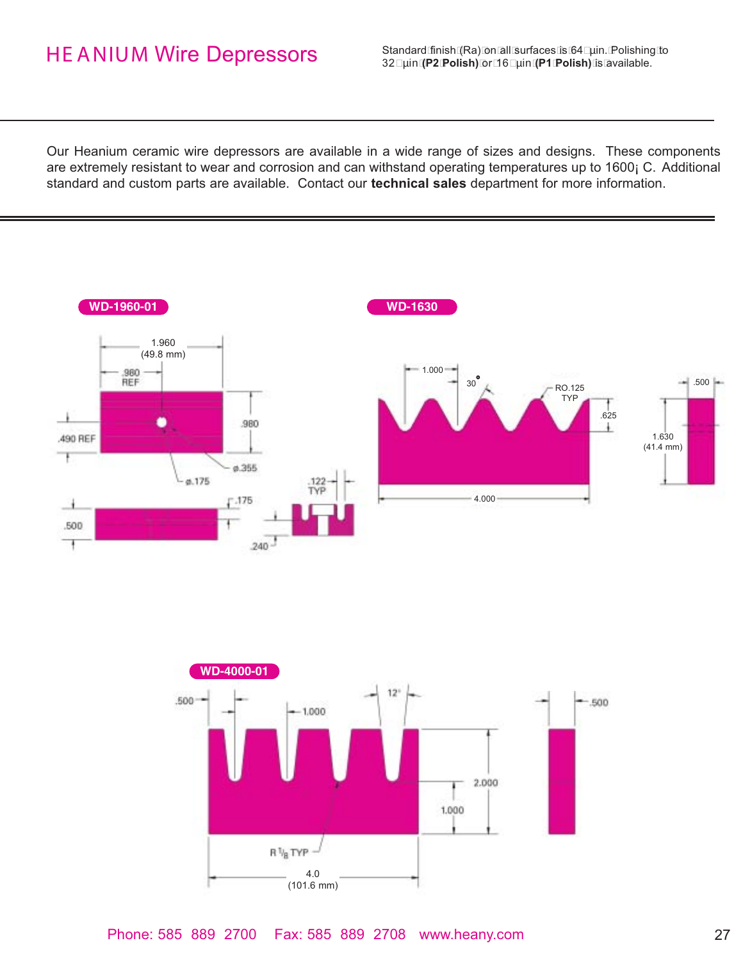## HE ANIUM Wire Depressors

Standard finish (Ra) on all surfaces is 64 µin. Polishing to 32 µin **(P2 Polish)** or 16 µin **(P1 Polish)** is available.

Our Heanium ceramic wire depressors are available in a wide range of sizes and designs. These components are extremely resistant to wear and corrosion and can withstand operating temperatures up to 1600; C. Additional standard and custom parts are available. Contact our **technical sales** department for more information.